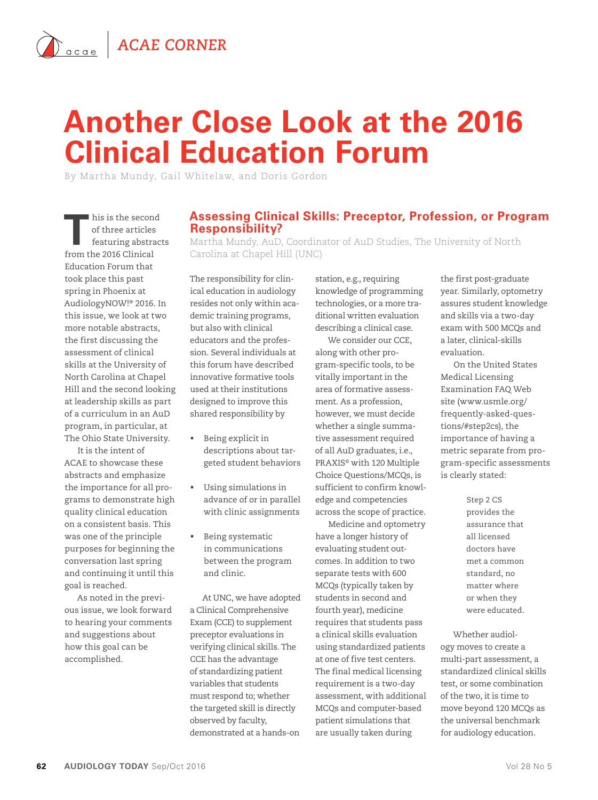## **Another Close Look at the 2016 Clinical Education Forum**

By Martha Mundy, Gail Whitelaw, and Doris Gordon

his is the second<br>
of three articles<br>
featuring abstracts<br>
from the 2016 Clinical of three articles from the 2016 Clinical Education Forum that took place this past spring in Phoenix at AudiologyNOW!® 2016. In this issue, we look at two more notable abstracts, the first discussing the assessment of clinical skills at the University of North Carolina at Chapel Hill and the second looking at leadership skills as part of a curriculum in an AuD program, in particular, at The Ohio State University.

It is the intent of ACAE to showcase these abstracts and emphasize the importance for all programs to demonstrate high quality clinical education on a consistent basis. This was one of the principle purposes for beginning the conversation last spring and continuing it until this goal is reached.

As noted in the previous issue, we look forward to hearing your comments and suggestions about how this goal can be accomplished.

## **Assessing Clinical Skills: Preceptor, Profession, or Program Responsibility?**

Martha Mundy, AuD, Coordinator of AuD Studies, The University of North Carolina at Chapel Hill (UNC)

The responsibility for clinical education in audiology resides not only within academic training programs, but also with clinical educators and the profession. Several individuals at this forum have described innovative formative tools used at their institutions designed to improve this shared responsibility by

- Being explicit in descriptions about targeted student behaviors
- Using simulations in advance of or in parallel with clinic assignments
- Being systematic in communications between the program and clinic.

At UNC, we have adopted a Clinical Comprehensive Exam (CCE) to supplement preceptor evaluations in verifying clinical skills. The CCE has the advantage of standardizing patient variables that students must respond to; whether the targeted skill is directly observed by faculty, demonstrated at a hands-on

station, e.g., requiring knowledge of programming technologies, or a more traditional written evaluation describing a clinical case.

We consider our CCE, along with other program-specific tools, to be vitally important in the area of formative assessment. As a profession, however, we must decide whether a single summative assessment required of all AuD graduates, i.e., PRAXIS© with 120 Multiple Choice Questions/MCQs, is sufficient to confirm knowledge and competencies across the scope of practice.

Medicine and optometry have a longer history of evaluating student outcomes. In addition to two separate tests with 600 MCQs (typically taken by students in second and fourth year), medicine requires that students pass a clinical skills evaluation using standardized patients at one of five test centers. The final medical licensing requirement is a two-day assessment, with additional MCQs and computer-based patient simulations that are usually taken during

the first post-graduate year. Similarly, optometry assures student knowledge and skills via a two-day exam with 500 MCQs and a later, clinical-skills evaluation.

On the United States Medical Licensing Examination FAQ Web site (www.usmle.org/ frequently-asked-questions/#step2cs), the importance of having a metric separate from program-specific assessments is clearly stated:

> Step 2 CS provides the assurance that all licensed doctors have met a common standard, no matter where or when they were educated.

Whether audiology moves to create a multi-part assessment, a standardized clinical skills test, or some combination of the two, it is time to move beyond 120 MCQs as the universal benchmark for audiology education.